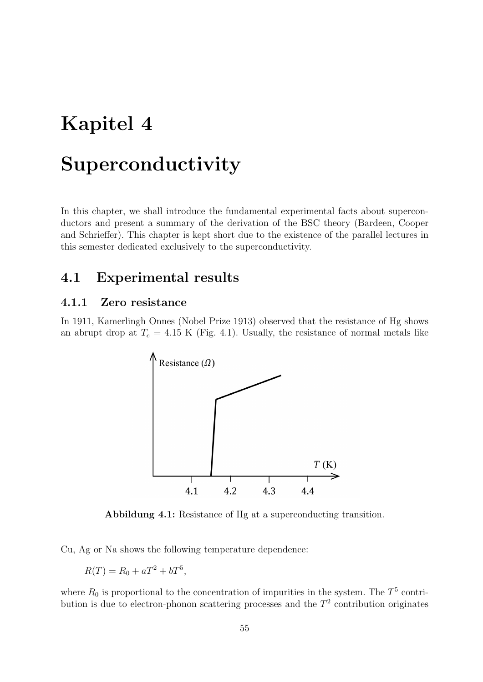# Kapitel 4

## Superconductivity

In this chapter, we shall introduce the fundamental experimental facts about superconductors and present a summary of the derivation of the BSC theory (Bardeen, Cooper and Schrieffer). This chapter is kept short due to the existence of the parallel lectures in this semester dedicated exclusively to the superconductivity.

## 4.1 Experimental results

## 4.1.1 Zero resistance

In 1911, Kamerlingh Onnes (Nobel Prize 1913) observed that the resistance of Hg shows an abrupt drop at  $T_c = 4.15$  K (Fig. 4.1). Usually, the resistance of normal metals like



Abbildung 4.1: Resistance of Hg at a superconducting transition.

Cu, Ag or Na shows the following temperature dependence:

$$
R(T) = R_0 + aT^2 + bT^5,
$$

where  $R_0$  is proportional to the concentration of impurities in the system. The  $T^5$  contribution is due to electron-phonon scattering processes and the  $T<sup>2</sup>$  contribution originates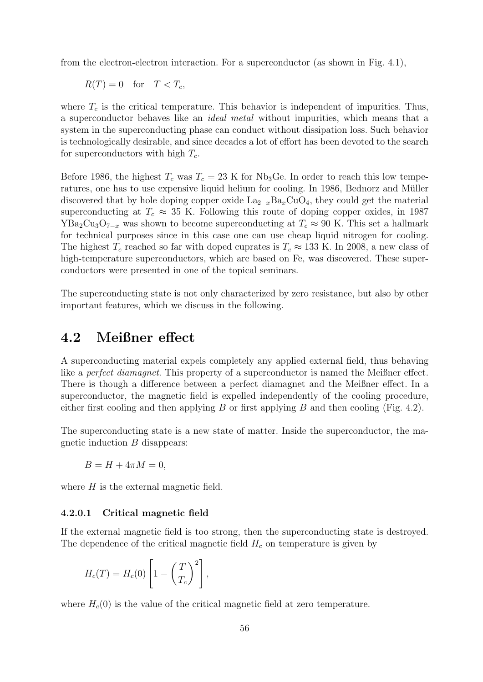from the electron-electron interaction. For a superconductor (as shown in Fig. 4.1),

 $R(T) = 0$  for  $T < T_c$ ,

where  $T_c$  is the critical temperature. This behavior is independent of impurities. Thus, a superconductor behaves like an ideal metal without impurities, which means that a system in the superconducting phase can conduct without dissipation loss. Such behavior is technologically desirable, and since decades a lot of effort has been devoted to the search for superconductors with high  $T_c$ .

Before 1986, the highest  $T_c$  was  $T_c = 23$  K for Nb<sub>3</sub>Ge. In order to reach this low temperatures, one has to use expensive liquid helium for cooling. In 1986, Bednorz and Muller ¨ discovered that by hole doping copper oxide  $\text{La}_{2-x}\text{Ba}_x\text{CuO}_4$ , they could get the material superconducting at  $T_c \approx 35$  K. Following this route of doping copper oxides, in 1987 YBa<sub>2</sub>Cu<sub>3</sub>O<sub>7−x</sub> was shown to become superconducting at  $T_c \approx 90$  K. This set a hallmark for technical purposes since in this case one can use cheap liquid nitrogen for cooling. The highest  $T_c$  reached so far with doped cuprates is  $T_c \approx 133$  K. In 2008, a new class of high-temperature superconductors, which are based on Fe, was discovered. These superconductors were presented in one of the topical seminars.

The superconducting state is not only characterized by zero resistance, but also by other important features, which we discuss in the following.

## 4.2 Meißner effect

A superconducting material expels completely any applied external field, thus behaving like a *perfect diamagnet*. This property of a superconductor is named the Meißner effect. There is though a difference between a perfect diamagnet and the Meißner effect. In a superconductor, the magnetic field is expelled independently of the cooling procedure, either first cooling and then applying B or first applying B and then cooling (Fig. 4.2).

The superconducting state is a new state of matter. Inside the superconductor, the magnetic induction B disappears:

$$
B = H + 4\pi M = 0,
$$

where  $H$  is the external magnetic field.

## 4.2.0.1 Critical magnetic field

If the external magnetic field is too strong, then the superconducting state is destroyed. The dependence of the critical magnetic field  $H_c$  on temperature is given by

$$
H_c(T) = H_c(0) \left[ 1 - \left(\frac{T}{T_c}\right)^2 \right],
$$

where  $H_c(0)$  is the value of the critical magnetic field at zero temperature.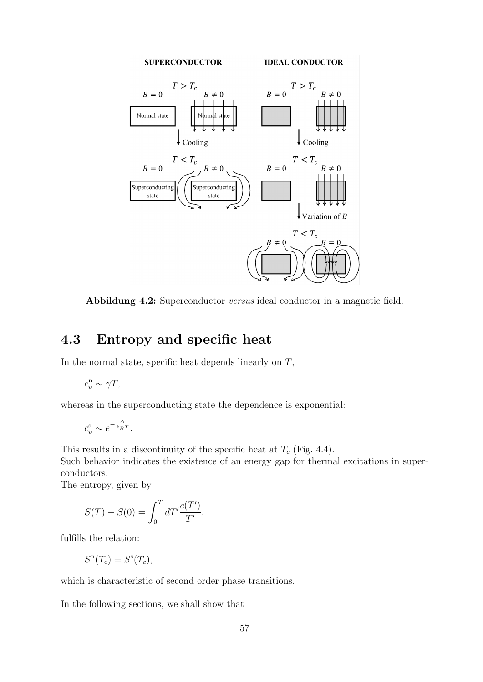

Abbildung 4.2: Superconductor versus ideal conductor in a magnetic field.

## 4.3 Entropy and specific heat

In the normal state, specific heat depends linearly on  $T$ ,

$$
c_v^n \sim \gamma T,
$$

whereas in the superconducting state the dependence is exponential:

$$
c_v^{\rm s}\sim e^{-\frac{\Delta}{k_BT}}.
$$

This results in a discontinuity of the specific heat at  $T_c$  (Fig. 4.4).

Such behavior indicates the existence of an energy gap for thermal excitations in superconductors.

The entropy, given by

$$
S(T) - S(0) = \int_0^T dT' \frac{c(T')}{T'},
$$

fulfills the relation:

$$
S^{n}(T_{c}) = S^{s}(T_{c}),
$$

which is characteristic of second order phase transitions.

In the following sections, we shall show that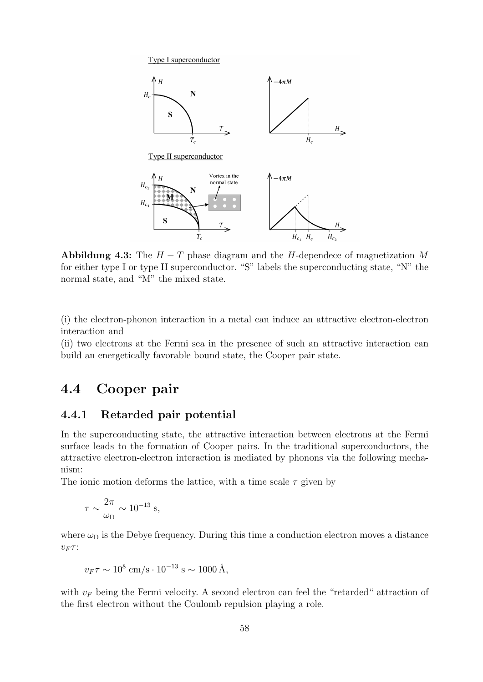Type I superconductor



Abbildung 4.3: The  $H - T$  phase diagram and the H-dependece of magnetization M for either type I or type II superconductor. "S" labels the superconducting state, "N" the normal state, and "M" the mixed state.

(i) the electron-phonon interaction in a metal can induce an attractive electron-electron interaction and

(ii) two electrons at the Fermi sea in the presence of such an attractive interaction can build an energetically favorable bound state, the Cooper pair state.

## 4.4 Cooper pair

## 4.4.1 Retarded pair potential

In the superconducting state, the attractive interaction between electrons at the Fermi surface leads to the formation of Cooper pairs. In the traditional superconductors, the attractive electron-electron interaction is mediated by phonons via the following mechanism:

The ionic motion deforms the lattice, with a time scale  $\tau$  given by

$$
\tau \sim \frac{2\pi}{\omega_{\rm D}} \sim 10^{-13} \; {\rm s},
$$

where  $\omega_D$  is the Debye frequency. During this time a conduction electron moves a distance  $v_F \tau$ :

$$
v_F \tau \sim 10^8 \text{ cm/s} \cdot 10^{-13} \text{ s} \sim 1000 \text{ Å},
$$

with  $v_F$  being the Fermi velocity. A second electron can feel the "retarded" attraction of the first electron without the Coulomb repulsion playing a role.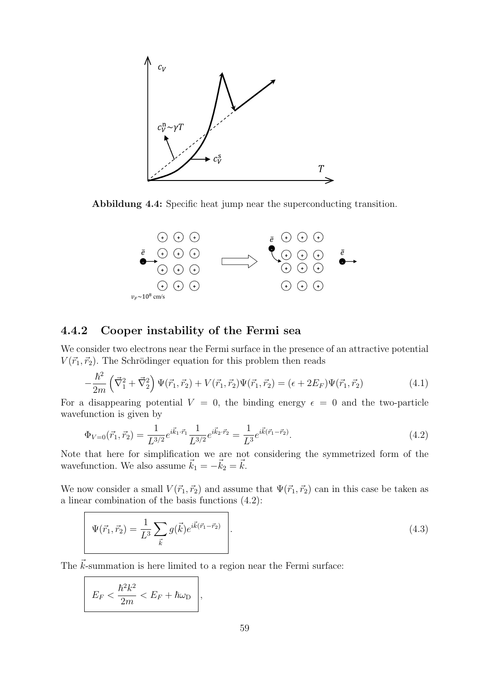

Abbildung 4.4: Specific heat jump near the superconducting transition.



## 4.4.2 Cooper instability of the Fermi sea

We consider two electrons near the Fermi surface in the presence of an attractive potential  $V(\vec{r_1}, \vec{r_2})$ . The Schrödinger equation for this problem then reads

$$
-\frac{\hbar^2}{2m}\left(\vec{\nabla}_1^2 + \vec{\nabla}_2^2\right)\Psi(\vec{r}_1, \vec{r}_2) + V(\vec{r}_1, \vec{r}_2)\Psi(\vec{r}_1, \vec{r}_2) = (\epsilon + 2E_F)\Psi(\vec{r}_1, \vec{r}_2)
$$
(4.1)

For a disappearing potential  $V = 0$ , the binding energy  $\epsilon = 0$  and the two-particle wavefunction is given by

$$
\Phi_{V=0}(\vec{r}_1, \vec{r}_2) = \frac{1}{L^{3/2}} e^{i\vec{k}_1 \cdot \vec{r}_1} \frac{1}{L^{3/2}} e^{i\vec{k}_2 \cdot \vec{r}_2} = \frac{1}{L^3} e^{i\vec{k}(\vec{r}_1 - \vec{r}_2)}.
$$
\n(4.2)

Note that here for simplification we are not considering the symmetrized form of the wavefunction. We also assume  $\vec{k}_1 = -\vec{k}_2 = \vec{k}$ .

We now consider a small  $V(\vec{r}_1, \vec{r}_2)$  and assume that  $\Psi(\vec{r}_1, \vec{r}_2)$  can in this case be taken as a linear combination of the basis functions (4.2):

$$
\Psi(\vec{r}_1, \vec{r}_2) = \frac{1}{L^3} \sum_{\vec{k}} g(\vec{k}) e^{i\vec{k}(\vec{r}_1 - \vec{r}_2)}.
$$
\n(4.3)

The  $\vec{k}$ -summation is here limited to a region near the Fermi surface:

$$
E_F < \frac{\hbar^2 k^2}{2m} < E_F + \hbar \omega_{\rm D} \bigg|,
$$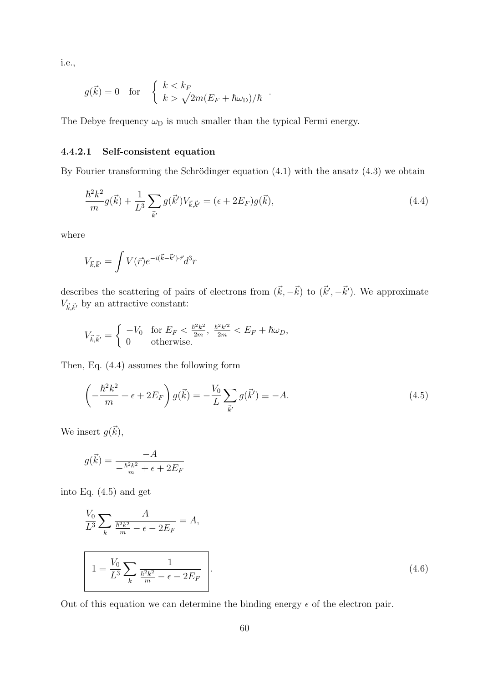*i.e.*,

$$
g(\vec{k}) = 0 \quad \text{for} \quad \begin{cases} k < k_F \\ k > \sqrt{2m(E_F + \hbar \omega_D)/\hbar} \end{cases}
$$

The Debye frequency  $\omega_D$  is much smaller than the typical Fermi energy.

#### $4.4.2.1$ Self-consistent equation

By Fourier transforming the Schrödinger equation  $(4.1)$  with the ansatz  $(4.3)$  we obtain

$$
\frac{\hbar^2 k^2}{m} g(\vec{k}) + \frac{1}{L^3} \sum_{\vec{k}'} g(\vec{k}') V_{\vec{k},\vec{k}'} = (\epsilon + 2E_F) g(\vec{k}),\tag{4.4}
$$

where

$$
V_{\vec{k},\vec{k}'}=\int V(\vec{r})e^{-i(\vec{k}-\vec{k}')\cdot\vec{r}}d^3r
$$

describes the scattering of pairs of electrons from  $(\vec{k}, -\vec{k})$  to  $(\vec{k}', -\vec{k}')$ . We approximate  $V_{\vec k,\vec k'}$  by an attractive constant:

$$
V_{\vec{k},\vec{k}'} = \begin{cases} -V_0 & \text{for } E_F < \frac{\hbar^2 k^2}{2m}, \ \frac{\hbar^2 k'^2}{2m} < E_F + \hbar \omega_D, \\ 0 & \text{otherwise.} \end{cases}
$$

Then, Eq.  $(4.4)$  assumes the following form

$$
\left(-\frac{\hbar^2 k^2}{m} + \epsilon + 2E_F\right)g(\vec{k}) = -\frac{V_0}{L}\sum_{\vec{k}'} g(\vec{k}') \equiv -A. \tag{4.5}
$$

We insert  $g(\vec{k})$ ,

$$
g(\vec{k}) = \frac{-A}{-\frac{\hbar^2 k^2}{m} + \epsilon + 2E_F}
$$

into Eq.  $(4.5)$  and get

$$
\frac{V_0}{L^3} \sum_{k} \frac{A}{\frac{\hbar^2 k^2}{m} - \epsilon - 2E_F} = A,
$$
\n
$$
1 = \frac{V_0}{L^3} \sum_{k} \frac{1}{\frac{\hbar^2 k^2}{m} - \epsilon - 2E_F}.
$$
\n(4.6)

Out of this equation we can determine the binding energy  $\epsilon$  of the electron pair.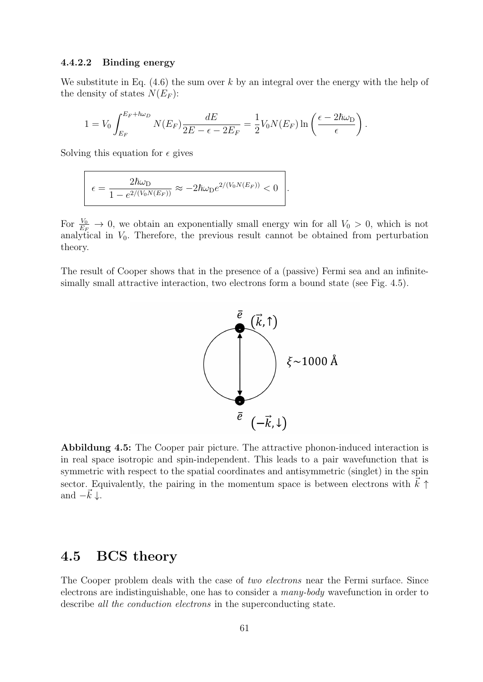## 4.4.2.2 Binding energy

We substitute in Eq.  $(4.6)$  the sum over k by an integral over the energy with the help of the density of states  $N(E_F)$ :

$$
1 = V_0 \int_{E_F}^{E_F + \hbar \omega_D} N(E_F) \frac{dE}{2E - \epsilon - 2E_F} = \frac{1}{2} V_0 N(E_F) \ln \left( \frac{\epsilon - 2\hbar \omega_D}{\epsilon} \right).
$$

Solving this equation for  $\epsilon$  gives

$$
\epsilon = \frac{2\hbar\omega_D}{1 - e^{2/(V_0N(E_F))}} \approx -2\hbar\omega_D e^{2/(V_0N(E_F))} < 0
$$

For  $\frac{V_0}{E_F} \to 0$ , we obtain an exponentially small energy win for all  $V_0 > 0$ , which is not analytical in  $V_0$ . Therefore, the previous result cannot be obtained from perturbation theory.

The result of Cooper shows that in the presence of a (passive) Fermi sea and an infinitesimally small attractive interaction, two electrons form a bound state (see Fig. 4.5).



Abbildung 4.5: The Cooper pair picture. The attractive phonon-induced interaction is in real space isotropic and spin-independent. This leads to a pair wavefunction that is symmetric with respect to the spatial coordinates and antisymmetric (singlet) in the spin sector. Equivalently, the pairing in the momentum space is between electrons with  $\vec{k} \uparrow$ and  $-\vec{k}\downarrow$ .

## 4.5 BCS theory

The Cooper problem deals with the case of two electrons near the Fermi surface. Since electrons are indistinguishable, one has to consider a many-body wavefunction in order to describe all the conduction electrons in the superconducting state.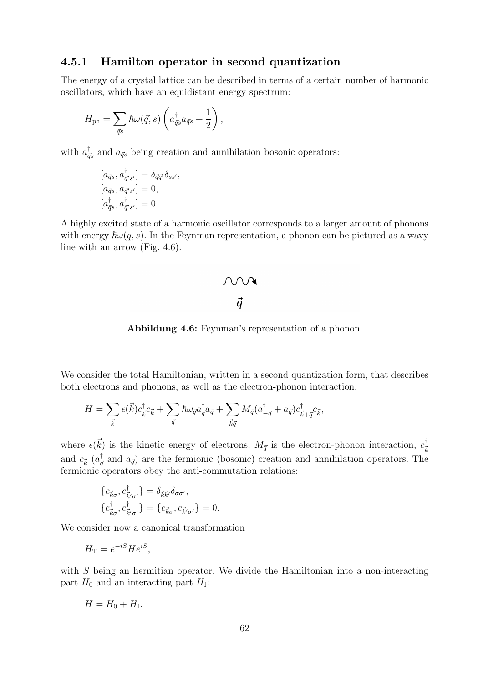#### 4.5.1 Hamilton operator in second quantization

The energy of a crystal lattice can be described in terms of a certain number of harmonic oscillators, which have an equidistant energy spectrum:

$$
H_{\rm ph} = \sum_{\vec{q}s} \hbar \omega(\vec{q},s) \left( a_{\vec{q}s}^{\dagger} a_{\vec{q}s} + \frac{1}{2} \right),
$$

with  $a_{\vec{q}s}^{\dagger}$  and  $a_{\vec{q}s}$  being creation and annihilation bosonic operators:

$$
[a_{\vec{q}s}, a_{\vec{q}'s'}^{\dagger}] = \delta_{\vec{q}\vec{q}'} \delta_{ss'},
$$
  
\n
$$
[a_{\vec{q}s}, a_{\vec{q}'s'}] = 0,
$$
  
\n
$$
[a_{\vec{q}s}^{\dagger}, a_{\vec{q}'s'}^{\dagger}] = 0.
$$

A highly excited state of a harmonic oscillator corresponds to a larger amount of phonons with energy  $\hbar \omega(q, s)$ . In the Feynman representation, a phonon can be pictured as a wavy line with an arrow (Fig.  $4.6$ ).

# $\begin{array}{c}\n\mathcal{N} & \rightarrow \\
\vec{q} & \n\end{array}$

**Abbildung 4.6:** Feynman's representation of a phonon.

We consider the total Hamiltonian, written in a second quantization form, that describes both electrons and phonons, as well as the electron-phonon interaction:

$$
H = \sum_{\vec{k}} \epsilon(\vec{k}) c_{\vec{k}}^{\dagger} c_{\vec{k}} + \sum_{\vec{q}} \hbar \omega_{\vec{q}} a_{\vec{q}}^{\dagger} a_{\vec{q}} + \sum_{\vec{k}\vec{q}} M_{\vec{q}} (a_{-\vec{q}}^{\dagger} + a_{\vec{q}}) c_{\vec{k} + \vec{q}}^{\dagger} c_{\vec{k}},
$$

where  $\epsilon(\vec{k})$  is the kinetic energy of electrons,  $M_{\vec{q}}$  is the electron-phonon interaction,  $c_{\vec{k}}^{\dagger}$ and  $c_{\vec{k}}$  ( $a_{\vec{q}}^{\dagger}$  and  $a_{\vec{q}}$ ) are the fermionic (bosonic) creation and annihilation operators. The fermionic operators obey the anti-commutation relations:

$$
\begin{aligned} \{c_{\vec{k}\sigma}, c_{\vec{k}'\sigma'}^{\dagger}\} &= \delta_{\vec{k}\vec{k}'} \delta_{\sigma\sigma'},\\ \{c_{\vec{k}\sigma}^{\dagger}, c_{\vec{k}'\sigma'}^{\dagger}\} &= \{c_{\vec{k}\sigma}, c_{\vec{k}'\sigma'}\} = 0. \end{aligned}
$$

We consider now a canonical transformation

$$
H_{\rm T}=e^{-iS}He^{iS},
$$

with  $S$  being an hermitian operator. We divide the Hamiltonian into a non-interacting part  $H_0$  and an interacting part  $H_1$ :

$$
H = H_0 + H_{\rm I}.
$$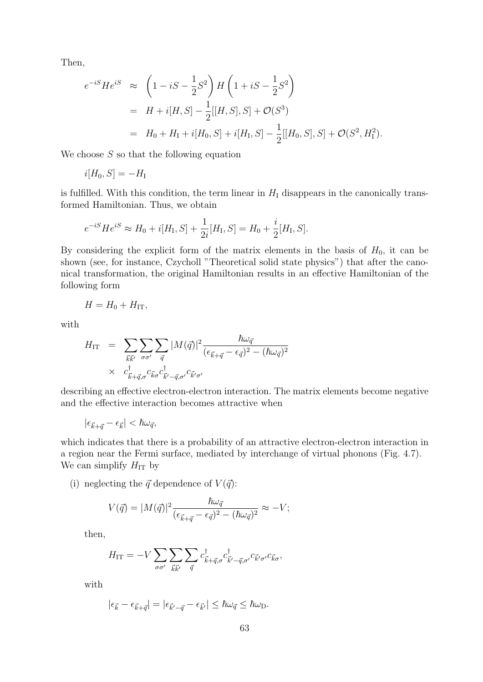Then,

$$
e^{-iS}He^{iS} \approx \left(1 - iS - \frac{1}{2}S^2\right)H\left(1 + iS - \frac{1}{2}S^2\right)
$$
  
=  $H + i[H, S] - \frac{1}{2}[[H, S], S] + \mathcal{O}(S^3)$   
=  $H_0 + H_1 + i[H_0, S] + i[H_1, S] - \frac{1}{2}[[H_0, S], S] + \mathcal{O}(S^2, H_1^2).$ 

We choose  $S$  so that the following equation

$$
i[H_0, S] = -H_{\rm I}
$$

is fulfilled. With this condition, the term linear in  $H_I$  disappears in the canonically transformed Hamiltonian. Thus, we obtain

$$
e^{-iS}He^{iS} \approx H_0 + i[H_1, S] + \frac{1}{2i}[H_1, S] = H_0 + \frac{i}{2}[H_1, S].
$$

By considering the explicit form of the matrix elements in the basis of  $H_0$ , it can be shown (see, for instance, Czycholl "Theoretical solid state physics") that after the canonical transformation, the original Hamiltonian results in an effective Hamiltonian of the following form

$$
H = H_0 + H_{\rm IT},
$$

with

$$
H_{\text{IT}} = \sum_{\vec{k}\vec{k}'} \sum_{\sigma\sigma'} \sum_{\vec{q}} |M(\vec{q})|^2 \frac{\hbar \omega_{\vec{q}}}{(\epsilon_{\vec{k}+\vec{q}} - \epsilon_{\vec{q}})^2 - (\hbar \omega_{\vec{q}})^2}
$$
  
 
$$
\times c_{\vec{k}+\vec{q},\sigma}^{\dagger} c_{\vec{k}\sigma} c_{\vec{k}'-\vec{q},\sigma'}^{\dagger} c_{\vec{k}'\sigma'}
$$

describing an effective electron-electron interaction. The matrix elements become negative and the effective interaction becomes attractive when

$$
|\epsilon_{\vec{k}+\vec{q}}-\epsilon_{\vec{k}}|<\hbar\omega_{\vec{q}},
$$

which indicates that there is a probability of an attractive electron-electron interaction in a region near the Fermi surface, mediated by interchange of virtual phonons (Fig. 4.7). We can simplify  $H_{IT}$  by

(i) neglecting the  $\vec{q}$  dependence of  $V(\vec{q})$ :

$$
V(\vec{q}) = |M(\vec{q})|^2 \frac{\hbar \omega_{\vec{q}}}{(\epsilon_{\vec{k}+\vec{q}}-\epsilon_{\vec{q}})^2 - (\hbar \omega_{\vec{q}})^2} \approx -V;
$$

then,

$$
H_{\rm IT} = -V \sum_{\sigma\sigma'} \sum_{\vec{k}\vec{k}'} \sum_{\vec{q}} c^{\dagger}_{\vec{k}+\vec{q},\sigma} c^{\dagger}_{\vec{k}'-\vec{q},\sigma'} c_{\vec{k}'\sigma'} c_{\vec{k}\sigma},
$$

with

$$
|\epsilon_{\vec{k}} - \epsilon_{\vec{k} + \vec{q}}| = |\epsilon_{\vec{k}' - \vec{q}} - \epsilon_{\vec{k}'}| \leq \hbar \omega_{\vec{q}} \leq \hbar \omega_{\text{D}}.
$$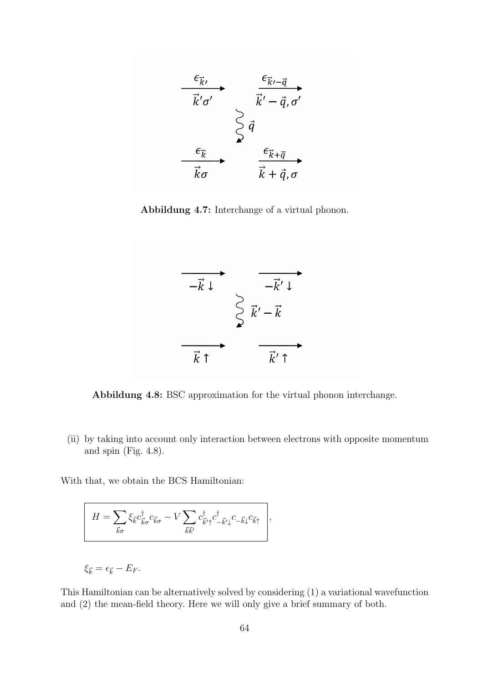

Abbildung 4.7: Interchange of a virtual phonon.



Abbildung 4.8: BSC approximation for the virtual phonon interchange.

(ii) by taking into account only interaction between electrons with opposite momentum and spin (Fig. 4.8).

With that, we obtain the BCS Hamiltonian:

$$
H = \sum_{\vec{k}\sigma} \xi_{\vec{k}} c_{\vec{k}\sigma}^{\dagger} c_{\vec{k}\sigma} - V \sum_{\vec{k}\vec{k}'} c_{\vec{k}'\uparrow}^{\dagger} c_{-\vec{k}'\downarrow}^{\dagger} c_{-\vec{k}\downarrow} c_{\vec{k}\uparrow} \Bigg|,
$$

$$
\xi_{\vec{k}} = \epsilon_{\vec{k}} - E_F.
$$

This Hamiltonian can be alternatively solved by considering (1) a variational wavefunction and (2) the mean-field theory. Here we will only give a brief summary of both.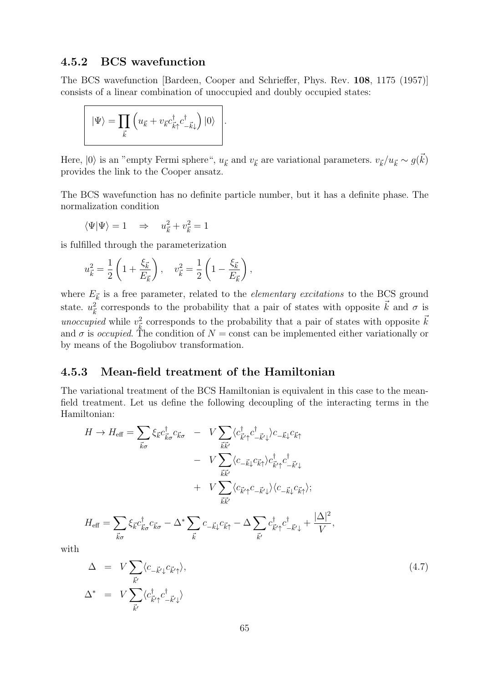#### **BCS** wavefunction  $4.5.2$

The BCS wavefunction [Bardeen, Cooper and Schrieffer, Phys. Rev. 108, 1175 (1957)] consists of a linear combination of unoccupied and doubly occupied states:

$$
|\Psi\rangle = \prod_{\vec{k}} \left( u_{\vec{k}} + v_{\vec{k}} c_{\vec{k}\uparrow}^{\dagger} c_{-\vec{k}\downarrow}^{\dagger} \right) |0\rangle \quad .
$$

Here,  $|0\rangle$  is an "empty Fermi sphere",  $u_{\vec{k}}$  and  $v_{\vec{k}}$  are variational parameters.  $v_{\vec{k}}/u_{\vec{k}} \sim g(\vec{k})$ provides the link to the Cooper ansatz.

The BCS wavefunction has no definite particle number, but it has a definite phase. The normalization condition

$$
\langle \Psi | \Psi \rangle = 1 \quad \Rightarrow \quad u_{\vec{k}}^2 + v_{\vec{k}}^2 = 1
$$

is fulfilled through the parameterization

$$
u_{\vec{k}}^2 = \frac{1}{2} \left( 1 + \frac{\xi_{\vec{k}}}{E_{\vec{k}}} \right), \quad v_{\vec{k}}^2 = \frac{1}{2} \left( 1 - \frac{\xi_{\vec{k}}}{E_{\vec{k}}} \right),
$$

where  $E_{\vec{k}}$  is a free parameter, related to the *elementary excitations* to the BCS ground state.  $u_{\vec{k}}^2$  corresponds to the probability that a pair of states with opposite  $\vec{k}$  and  $\sigma$  is *unoccupied* while  $v_{\vec{k}}^2$  corresponds to the probability that a pair of states with opposite  $\vec{k}$  and  $\sigma$  is *occupied*. The condition of  $N = \text{const}$  can be implemented either variationally or by means of the Bogoliubov transformation.

#### 4.5.3 Mean-field treatment of the Hamiltonian

The variational treatment of the BCS Hamiltonian is equivalent in this case to the meanfield treatment. Let us define the following decoupling of the interacting terms in the Hamiltonian:

$$
H \rightarrow H_{\text{eff}} = \sum_{\vec{k}\sigma} \xi_{\vec{k}} c_{\vec{k}\sigma}^{\dagger} c_{\vec{k}\sigma} - V \sum_{\vec{k}\vec{k}'} \langle c_{\vec{k}'}^{\dagger} c_{-\vec{k}\downarrow}^{\dagger} \rangle c_{-\vec{k}\downarrow} c_{\vec{k}\uparrow} - V \sum_{\vec{k}\vec{k}'} \langle c_{-\vec{k}\downarrow} c_{\vec{k}\uparrow} \rangle c_{\vec{k}'\uparrow}^{\dagger} c_{-\vec{k}'\downarrow}^{\dagger} + V \sum_{\vec{k}\vec{k}'} \langle c_{\vec{k}'\uparrow} c_{-\vec{k}'\downarrow} \rangle \langle c_{-\vec{k}\downarrow} c_{\vec{k}\uparrow} \rangle ; H_{\text{eff}} = \sum_{\vec{k}\sigma} \xi_{\vec{k}} c_{\vec{k}\sigma}^{\dagger} c_{\vec{k}\sigma} - \Delta^* \sum_{\vec{k}} c_{-\vec{k}\downarrow}^{\dagger} c_{\vec{k}\uparrow}^{\dagger} - \Delta \sum_{\vec{k}'} c_{\vec{k}'\uparrow}^{\dagger} c_{-\vec{k}'\downarrow}^{\dagger} + \frac{|\Delta|^2}{V},
$$

with

$$
\Delta = V \sum_{\vec{k}'} \langle c_{-\vec{k}'\downarrow} c_{\vec{k}'\uparrow} \rangle, \tag{4.7}
$$
\n
$$
\Delta^* = V \sum_{\vec{k}'} \langle c_{\vec{k}'\uparrow}^{\dagger} c_{-\vec{k}'\downarrow}^{\dagger} \rangle
$$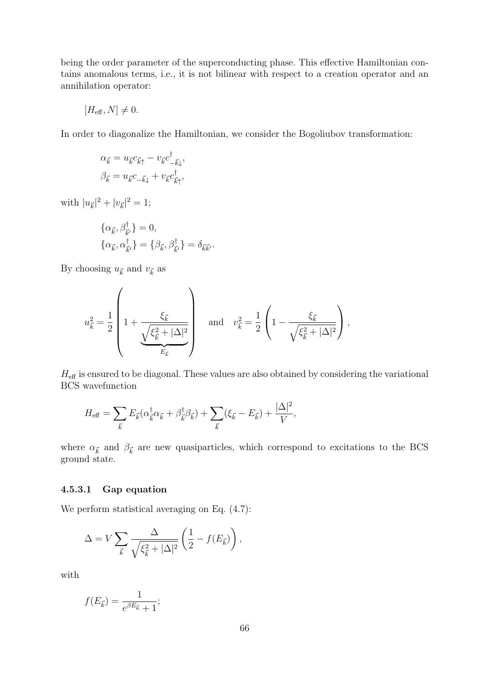being the order parameter of the superconducting phase. This effective Hamiltonian contains anomalous terms, i.e., it is not bilinear with respect to a creation operator and an annihilation operator:

$$
[H_{\text{eff}}, N] \neq 0.
$$

In order to diagonalize the Hamiltonian, we consider the Bogoliubov transformation:

$$
\alpha_{\vec{k}} = u_{\vec{k}} c_{\vec{k}\uparrow} - v_{\vec{k}} c^{\dagger}_{-\vec{k}\downarrow},
$$
  

$$
\beta_{\vec{k}} = u_{\vec{k}} c_{-\vec{k}\downarrow} + v_{\vec{k}} c^{\dagger}_{\vec{k}\uparrow},
$$

with  $|u_{\vec{k}}|^2 + |v_{\vec{k}}|^2 = 1$ ;

$$
\begin{aligned}\n\{\alpha_{\vec{k}}, \beta_{\vec{k}'}^{\dagger}\} &= 0, \\
\{\alpha_{\vec{k}}, \alpha_{\vec{k}'}^{\dagger}\} &= \{\beta_{\vec{k}}, \beta_{\vec{k}'}^{\dagger}\} = \delta_{\vec{k}\vec{k}'}.\n\end{aligned}
$$

By choosing  $u_{\vec{k}}$  and  $v_{\vec{k}}$  as

$$
u_{\vec{k}}^2=\frac{1}{2}\left(1+\frac{\xi_{\vec{k}}}{\underbrace{\sqrt{\xi_{\vec{k}}^2+|\Delta|^2}}_{E_{\vec{k}}}}\right)\quad\text{and}\quad v_{\vec{k}}^2=\frac{1}{2}\left(1-\frac{\xi_{\vec{k}}}{\sqrt{\xi_{\vec{k}}^2+|\Delta|^2}}\right),
$$

 $H_{\text{eff}}$  is ensured to be diagonal. These values are also obtained by considering the variational **BCS** wavefunction

$$
H_{\text{eff}} = \sum_{\vec{k}} E_{\vec{k}} (\alpha_{\vec{k}}^{\dagger} \alpha_{\vec{k}} + \beta_{\vec{k}}^{\dagger} \beta_{\vec{k}}) + \sum_{\vec{k}} (\xi_{\vec{k}} - E_{\vec{k}}) + \frac{|\Delta|^2}{V},
$$

where  $\alpha_{\vec{k}}$  and  $\beta_{\vec{k}}$  are new quasiparticles, which correspond to excitations to the BCS ground state.

#### $4.5.3.1$ Gap equation

We perform statistical averaging on Eq.  $(4.7)$ :

$$
\Delta = V \sum_{\vec{k}} \frac{\Delta}{\sqrt{\xi_{\vec{k}}^2 + |\Delta|^2}} \left( \frac{1}{2} - f(E_{\vec{k}}) \right),
$$

with

$$
f(E_{\vec{k}}) = \frac{1}{e^{\beta E_{\vec{k}}} + 1};
$$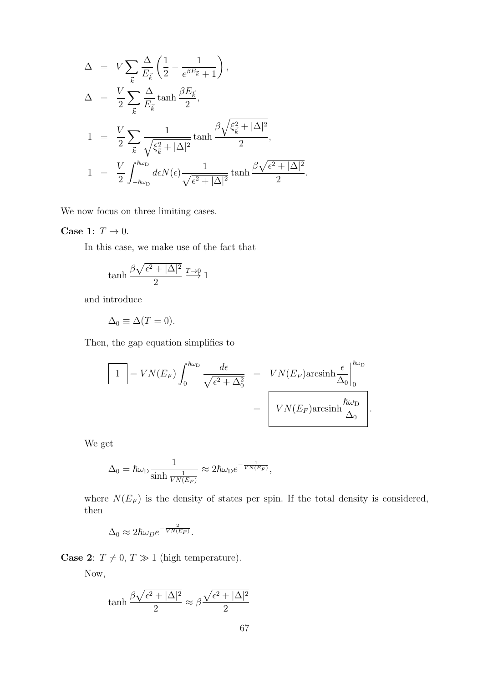$$
\Delta = V \sum_{\vec{k}} \frac{\Delta}{E_{\vec{k}}} \left( \frac{1}{2} - \frac{1}{e^{\beta E_{\vec{k}}} + 1} \right),
$$
  
\n
$$
\Delta = \frac{V}{2} \sum_{\vec{k}} \frac{\Delta}{E_{\vec{k}}} \tanh \frac{\beta E_{\vec{k}}}{2},
$$
  
\n
$$
1 = \frac{V}{2} \sum_{\vec{k}} \frac{1}{\sqrt{\xi_{\vec{k}}^2 + |\Delta|^2}} \tanh \frac{\beta \sqrt{\xi_{\vec{k}}^2 + |\Delta|^2}}{2},
$$
  
\n
$$
1 = \frac{V}{2} \int_{-\hbar\omega_{\text{D}}}^{\hbar\omega_{\text{D}}} d\epsilon N(\epsilon) \frac{1}{\sqrt{\epsilon^2 + |\Delta|^2}} \tanh \frac{\beta \sqrt{\epsilon^2 + |\Delta|^2}}{2}.
$$

We now focus on three limiting cases.

## Case 1:  $T\rightarrow 0.$

In this case, we make use of the fact that

$$
\tanh \frac{\beta \sqrt{\epsilon^2 + |\Delta|^2}}{2} \xrightarrow{T \to 0} 1
$$

and introduce

$$
\Delta_0 \equiv \Delta(T=0).
$$

Then, the gap equation simplifies to

$$
\boxed{1} = VN(E_F) \int_0^{\hbar \omega_D} \frac{d\epsilon}{\sqrt{\epsilon^2 + \Delta_0^2}} = VN(E_F) \text{arcsinh} \frac{\epsilon}{\Delta_0} \Big|_0^{\hbar \omega_D} = \boxed{VN(E_F) \text{arcsinh} \frac{\hbar \omega_D}{\Delta_0}}.
$$

We get

$$
\Delta_0 = \hbar \omega_{\text{D}} \frac{1}{\sinh \frac{1}{VN(E_F)}} \approx 2\hbar \omega_{\text{D}} e^{-\frac{1}{VN(E_F)}},
$$

where  $N(E_F)$  is the density of states per spin. If the total density is considered, then

$$
\Delta_0 \approx 2\hbar\omega_D e^{-\frac{2}{VN(E_F)}}.
$$

**Case 2:**  $T \neq 0, T \gg 1$  (high temperature).

Now,

$$
\tanh\frac{\beta\sqrt{\epsilon^2+|\Delta|^2}}{2} \approx \beta\frac{\sqrt{\epsilon^2+|\Delta|^2}}{2}
$$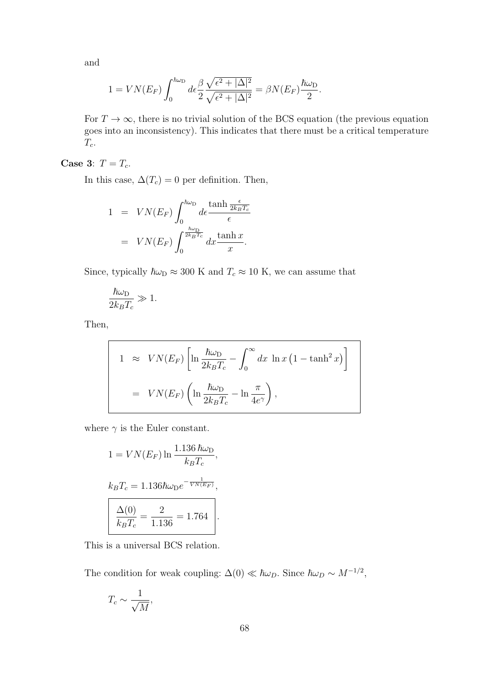and

$$
1 = VN(E_F)\int_0^{\hbar\omega_D} d\epsilon \frac{\beta}{2} \frac{\sqrt{\epsilon^2 + |\Delta|^2}}{\sqrt{\epsilon^2 + |\Delta|^2}} = \beta N(E_F)\frac{\hbar\omega_D}{2}.
$$

For  $T \to \infty$ , there is no trivial solution of the BCS equation (the previous equation goes into an inconsistency). This indicates that there must be a critical temperature  $T_c$ .

## Case 3:  $T = T_c$ .

In this case,  $\Delta(T_c) = 0$  per definition. Then,

$$
1 = VN(E_F)\int_0^{\hbar\omega_D} d\epsilon \frac{\tanh\frac{\epsilon}{2k_BT_c}}{\epsilon}
$$

$$
= VN(E_F)\int_0^{\frac{\hbar\omega_D}{2k_BT_c}} dx \frac{\tanh x}{x}.
$$

Since, typically  $\hbar\omega_D \approx 300$  K and  $T_c \approx 10$  K, we can assume that

$$
\frac{\hbar\omega_{\rm D}}{2k_BT_c} \gg 1.
$$

Then,

$$
1 \approx VN(E_F)\left[\ln\frac{\hbar\omega_D}{2k_BT_c} - \int_0^\infty dx \ln x (1 - \tanh^2 x)\right]
$$
  
=  $VN(E_F)\left(\ln\frac{\hbar\omega_D}{2k_BT_c} - \ln\frac{\pi}{4e^\gamma}\right),$ 

where  $\gamma$  is the Euler constant.

$$
1 = VN(E_F) \ln \frac{1.136 \,\hbar \omega_D}{k_B T_c},
$$
  
\n
$$
k_B T_c = 1.136 \hbar \omega_D e^{-\frac{1}{VN(E_F)}},
$$
  
\n
$$
\frac{\Delta(0)}{k_B T_c} = \frac{2}{1.136} = 1.764.
$$

This is a universal BCS relation.

The condition for weak coupling:  $\Delta(0) \ll \hbar \omega_D$ . Since  $\hbar \omega_D \sim M^{-1/2}$ ,

$$
T_c \sim \frac{1}{\sqrt{M}},
$$